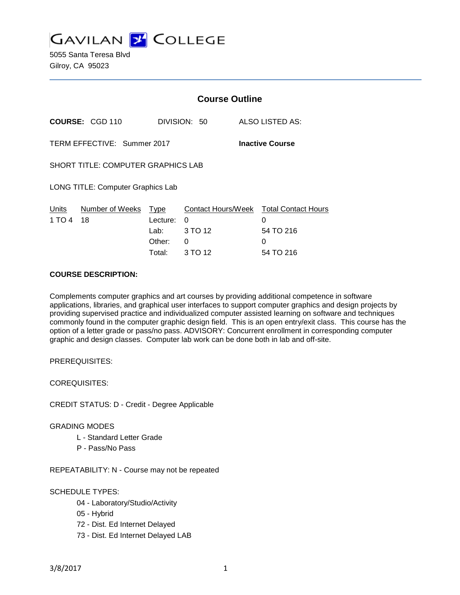**GAVILAN 2 COLLEGE** 

5055 Santa Teresa Blvd Gilroy, CA 95023

|                                                       |                        | <b>Course Outline</b> |              |   |                                        |
|-------------------------------------------------------|------------------------|-----------------------|--------------|---|----------------------------------------|
|                                                       | <b>COURSE: CGD 110</b> |                       | DIVISION: 50 |   | ALSO LISTED AS:                        |
| TERM EFFECTIVE: Summer 2017<br><b>Inactive Course</b> |                        |                       |              |   |                                        |
| <b>SHORT TITLE: COMPUTER GRAPHICS LAB</b>             |                        |                       |              |   |                                        |
| LONG TITLE: Computer Graphics Lab                     |                        |                       |              |   |                                        |
| Units                                                 | Number of Weeks Type   |                       |              |   | Contact Hours/Week Total Contact Hours |
| 1 TO 4                                                | 18                     | Lecture:              | 0            | 0 |                                        |
|                                                       |                        | Lab: Lab              | 3 TO 12      |   | 54 TO 216                              |
|                                                       |                        | Other:                | 0            | 0 |                                        |
|                                                       |                        | Total:                | 3 TO 12      |   | 54 TO 216                              |

# **COURSE DESCRIPTION:**

Complements computer graphics and art courses by providing additional competence in software applications, libraries, and graphical user interfaces to support computer graphics and design projects by providing supervised practice and individualized computer assisted learning on software and techniques commonly found in the computer graphic design field. This is an open entry/exit class. This course has the option of a letter grade or pass/no pass. ADVISORY: Concurrent enrollment in corresponding computer graphic and design classes. Computer lab work can be done both in lab and off-site.

PREREQUISITES:

COREQUISITES:

CREDIT STATUS: D - Credit - Degree Applicable

### GRADING MODES

- L Standard Letter Grade
- P Pass/No Pass

REPEATABILITY: N - Course may not be repeated

### SCHEDULE TYPES:

- 04 Laboratory/Studio/Activity
- 05 Hybrid
- 72 Dist. Ed Internet Delayed
- 73 Dist. Ed Internet Delayed LAB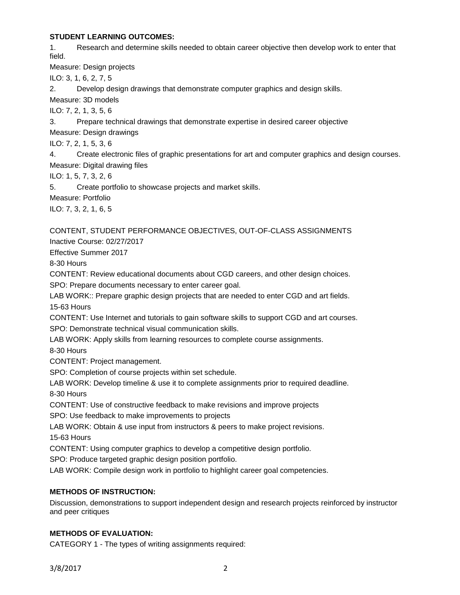## **STUDENT LEARNING OUTCOMES:**

1. Research and determine skills needed to obtain career objective then develop work to enter that field.

Measure: Design projects

ILO: 3, 1, 6, 2, 7, 5

2. Develop design drawings that demonstrate computer graphics and design skills.

Measure: 3D models

ILO: 7, 2, 1, 3, 5, 6

3. Prepare technical drawings that demonstrate expertise in desired career objective

Measure: Design drawings

ILO: 7, 2, 1, 5, 3, 6

4. Create electronic files of graphic presentations for art and computer graphics and design courses. Measure: Digital drawing files

ILO: 1, 5, 7, 3, 2, 6

5. Create portfolio to showcase projects and market skills.

Measure: Portfolio

ILO: 7, 3, 2, 1, 6, 5

# CONTENT, STUDENT PERFORMANCE OBJECTIVES, OUT-OF-CLASS ASSIGNMENTS

Inactive Course: 02/27/2017

Effective Summer 2017

8-30 Hours

CONTENT: Review educational documents about CGD careers, and other design choices.

SPO: Prepare documents necessary to enter career goal.

LAB WORK:: Prepare graphic design projects that are needed to enter CGD and art fields. 15-63 Hours

CONTENT: Use Internet and tutorials to gain software skills to support CGD and art courses. SPO: Demonstrate technical visual communication skills.

LAB WORK: Apply skills from learning resources to complete course assignments.

8-30 Hours

CONTENT: Project management.

SPO: Completion of course projects within set schedule.

LAB WORK: Develop timeline & use it to complete assignments prior to required deadline. 8-30 Hours

CONTENT: Use of constructive feedback to make revisions and improve projects

SPO: Use feedback to make improvements to projects

LAB WORK: Obtain & use input from instructors & peers to make project revisions.

15-63 Hours

CONTENT: Using computer graphics to develop a competitive design portfolio.

SPO: Produce targeted graphic design position portfolio.

LAB WORK: Compile design work in portfolio to highlight career goal competencies.

# **METHODS OF INSTRUCTION:**

Discussion, demonstrations to support independent design and research projects reinforced by instructor and peer critiques

## **METHODS OF EVALUATION:**

CATEGORY 1 - The types of writing assignments required: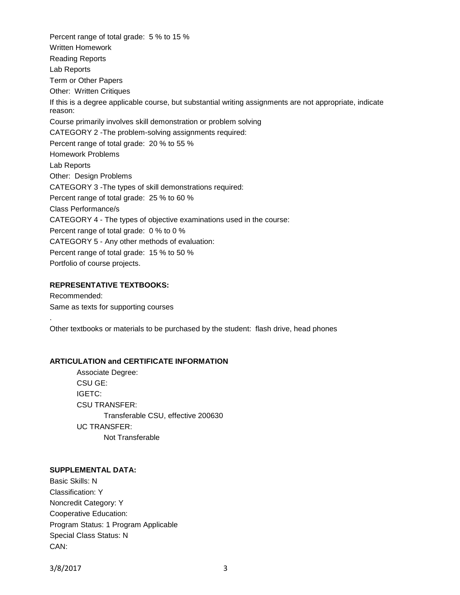Percent range of total grade: 5 % to 15 % Written Homework Reading Reports Lab Reports Term or Other Papers Other: Written Critiques If this is a degree applicable course, but substantial writing assignments are not appropriate, indicate reason: Course primarily involves skill demonstration or problem solving CATEGORY 2 -The problem-solving assignments required: Percent range of total grade: 20 % to 55 % Homework Problems Lab Reports Other: Design Problems CATEGORY 3 -The types of skill demonstrations required: Percent range of total grade: 25 % to 60 % Class Performance/s CATEGORY 4 - The types of objective examinations used in the course: Percent range of total grade: 0 % to 0 % CATEGORY 5 - Any other methods of evaluation: Percent range of total grade: 15 % to 50 % Portfolio of course projects.

## **REPRESENTATIVE TEXTBOOKS:**

Recommended: Same as texts for supporting courses

.

Other textbooks or materials to be purchased by the student: flash drive, head phones

#### **ARTICULATION and CERTIFICATE INFORMATION**

Associate Degree: CSU GE: IGETC: CSU TRANSFER: Transferable CSU, effective 200630 UC TRANSFER: Not Transferable

#### **SUPPLEMENTAL DATA:**

Basic Skills: N Classification: Y Noncredit Category: Y Cooperative Education: Program Status: 1 Program Applicable Special Class Status: N CAN:

3/8/2017 3